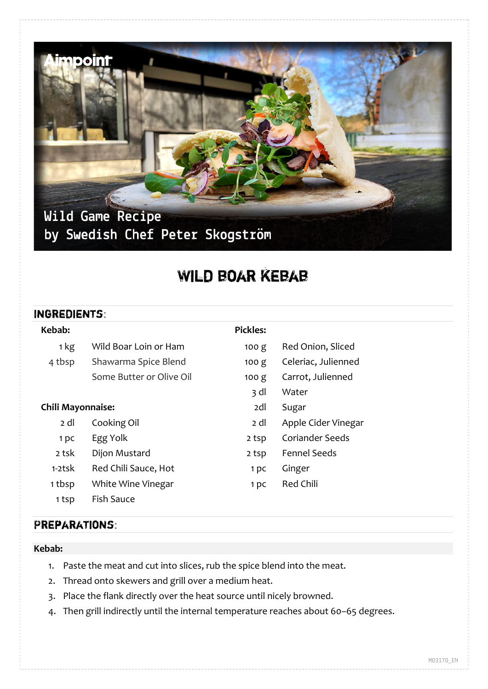

# Wild boar kebab

### Ingredients:

| Kebab:                   |                          | <b>Pickles:</b> |                        |
|--------------------------|--------------------------|-----------------|------------------------|
| 1 kg                     | Wild Boar Loin or Ham    | 100 g           | Red Onion, Sliced      |
| 4 tbsp                   | Shawarma Spice Blend     | 100 g           | Celeriac, Julienned    |
|                          | Some Butter or Olive Oil | 100 g           | Carrot, Julienned      |
|                          |                          | 3 dl            | Water                  |
| <b>Chili Mayonnaise:</b> |                          | 2dl             | Sugar                  |
| 2 dl                     | Cooking Oil              | 2 dl            | Apple Cider Vinegar    |
| 1 pc                     | Egg Yolk                 | 2 tsp           | <b>Coriander Seeds</b> |
| 2 tsk                    | Dijon Mustard            | 2 tsp           | <b>Fennel Seeds</b>    |
| $1-2$ tsk                | Red Chili Sauce, Hot     | 1 <sub>pc</sub> | Ginger                 |
| 1 tbsp                   | White Wine Vinegar       | 1 <sub>pc</sub> | <b>Red Chili</b>       |
| 1 tsp                    | <b>Fish Sauce</b>        |                 |                        |

## Preparations:

#### **Kebab:**

- 1. Paste the meat and cut into slices, rub the spice blend into the meat.
- 2. Thread onto skewers and grill over a medium heat.
- 3. Place the flank directly over the heat source until nicely browned.
- 4. Then grill indirectly until the internal temperature reaches about 60–65 degrees.